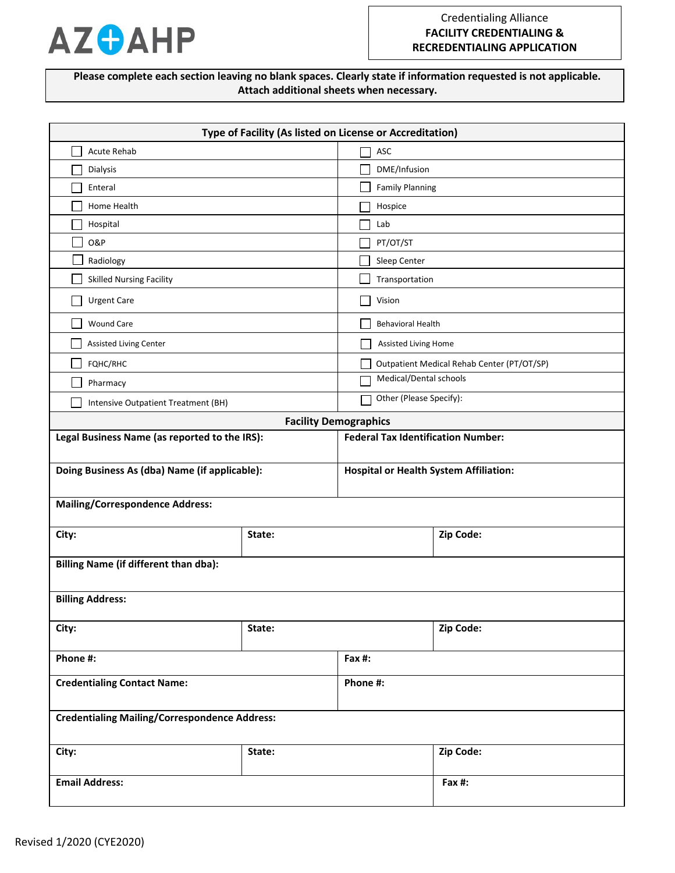

**Please complete each section leaving no blank spaces. Clearly state if information requested is not applicable. Attach additional sheets when necessary.**

| Type of Facility (As listed on License or Accreditation) |                              |                                               |                                            |  |
|----------------------------------------------------------|------------------------------|-----------------------------------------------|--------------------------------------------|--|
| <b>Acute Rehab</b>                                       |                              | ASC                                           |                                            |  |
| Dialysis                                                 | DME/Infusion                 |                                               |                                            |  |
| Enteral                                                  |                              | <b>Family Planning</b>                        |                                            |  |
| Home Health                                              |                              | Hospice                                       |                                            |  |
| Hospital                                                 |                              | Lab                                           |                                            |  |
| <b>O&amp;P</b>                                           |                              | PT/OT/ST                                      |                                            |  |
| Radiology                                                |                              | Sleep Center                                  |                                            |  |
| <b>Skilled Nursing Facility</b>                          |                              | Transportation                                |                                            |  |
| <b>Urgent Care</b>                                       |                              | Vision                                        |                                            |  |
| <b>Wound Care</b>                                        |                              |                                               | <b>Behavioral Health</b>                   |  |
| Assisted Living Center                                   |                              | Assisted Living Home                          |                                            |  |
| FQHC/RHC                                                 |                              |                                               | Outpatient Medical Rehab Center (PT/OT/SP) |  |
| Pharmacy                                                 |                              | Medical/Dental schools                        |                                            |  |
| Intensive Outpatient Treatment (BH)                      | Other (Please Specify):      |                                               |                                            |  |
|                                                          | <b>Facility Demographics</b> |                                               |                                            |  |
| Legal Business Name (as reported to the IRS):            |                              |                                               | <b>Federal Tax Identification Number:</b>  |  |
|                                                          |                              |                                               |                                            |  |
| Doing Business As (dba) Name (if applicable):            |                              | <b>Hospital or Health System Affiliation:</b> |                                            |  |
| <b>Mailing/Correspondence Address:</b>                   |                              |                                               |                                            |  |
|                                                          |                              |                                               |                                            |  |
| City:                                                    | State:                       |                                               | Zip Code:                                  |  |
| <b>Billing Name (if different than dba):</b>             |                              |                                               |                                            |  |
|                                                          |                              |                                               |                                            |  |
| <b>Billing Address:</b>                                  |                              |                                               |                                            |  |
| City:                                                    | State:                       |                                               | Zip Code:                                  |  |
| Phone #:                                                 | Fax $#$ :                    |                                               |                                            |  |
| <b>Credentialing Contact Name:</b>                       |                              | Phone #:                                      |                                            |  |
|                                                          |                              |                                               |                                            |  |
| <b>Credentialing Mailing/Correspondence Address:</b>     |                              |                                               |                                            |  |
| City:                                                    | State:                       |                                               | Zip Code:                                  |  |
| <b>Email Address:</b>                                    |                              | Fax #:                                        |                                            |  |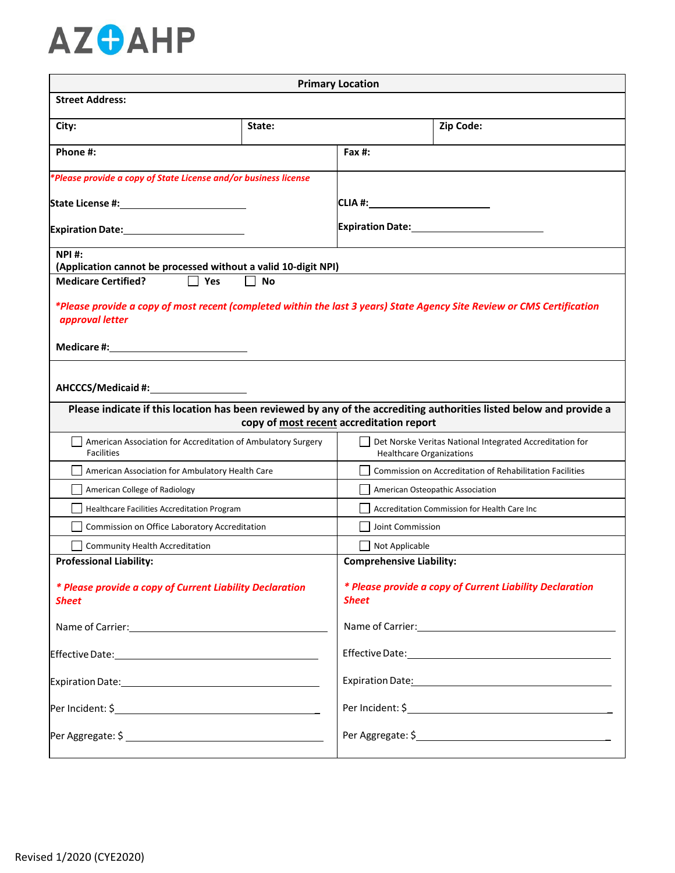

| <b>Primary Location</b>                                                                                                                                                                 |                                                                                                                                                                 |                                                                                                                 |                                                          |  |
|-----------------------------------------------------------------------------------------------------------------------------------------------------------------------------------------|-----------------------------------------------------------------------------------------------------------------------------------------------------------------|-----------------------------------------------------------------------------------------------------------------|----------------------------------------------------------|--|
| <b>Street Address:</b>                                                                                                                                                                  |                                                                                                                                                                 |                                                                                                                 |                                                          |  |
| City:                                                                                                                                                                                   | State:                                                                                                                                                          |                                                                                                                 | Zip Code:                                                |  |
| Phone #:                                                                                                                                                                                |                                                                                                                                                                 | Fax #:                                                                                                          |                                                          |  |
| *Please provide a copy of State License and/or business license                                                                                                                         |                                                                                                                                                                 |                                                                                                                 |                                                          |  |
|                                                                                                                                                                                         |                                                                                                                                                                 | CLIA #:____________________________                                                                             |                                                          |  |
| Expiration Date: Management Control of Table                                                                                                                                            |                                                                                                                                                                 | Expiration Date: Manual Assemblue Contractor Contractor                                                         |                                                          |  |
| <b>NPI#:</b><br>(Application cannot be processed without a valid 10-digit NPI)                                                                                                          |                                                                                                                                                                 |                                                                                                                 |                                                          |  |
| <b>Medicare Certified?</b><br>$\Box$ Yes                                                                                                                                                | $\perp$<br><b>No</b>                                                                                                                                            |                                                                                                                 |                                                          |  |
| *Please provide a copy of most recent (completed within the last 3 years) State Agency Site Review or CMS Certification<br>approval letter<br>Medicare #:______________________________ |                                                                                                                                                                 |                                                                                                                 |                                                          |  |
|                                                                                                                                                                                         | Please indicate if this location has been reviewed by any of the accrediting authorities listed below and provide a<br>copy of most recent accreditation report |                                                                                                                 |                                                          |  |
| American Association for Accreditation of Ambulatory Surgery<br><b>Facilities</b>                                                                                                       |                                                                                                                                                                 | Healthcare Organizations                                                                                        | Det Norske Veritas National Integrated Accreditation for |  |
| American Association for Ambulatory Health Care                                                                                                                                         |                                                                                                                                                                 | <b>Commission on Accreditation of Rehabilitation Facilities</b>                                                 |                                                          |  |
| American College of Radiology                                                                                                                                                           |                                                                                                                                                                 | American Osteopathic Association                                                                                |                                                          |  |
| Healthcare Facilities Accreditation Program                                                                                                                                             |                                                                                                                                                                 | Accreditation Commission for Health Care Inc                                                                    |                                                          |  |
| Commission on Office Laboratory Accreditation                                                                                                                                           |                                                                                                                                                                 | Joint Commission                                                                                                |                                                          |  |
| Community Health Accreditation                                                                                                                                                          |                                                                                                                                                                 | Not Applicable                                                                                                  |                                                          |  |
| <b>Professional Liability:</b>                                                                                                                                                          |                                                                                                                                                                 | <b>Comprehensive Liability:</b>                                                                                 |                                                          |  |
| * Please provide a copy of Current Liability Declaration<br><b>Sheet</b>                                                                                                                |                                                                                                                                                                 | * Please provide a copy of Current Liability Declaration<br><b>Sheet</b>                                        |                                                          |  |
|                                                                                                                                                                                         |                                                                                                                                                                 |                                                                                                                 |                                                          |  |
|                                                                                                                                                                                         |                                                                                                                                                                 |                                                                                                                 |                                                          |  |
|                                                                                                                                                                                         |                                                                                                                                                                 | Expiration Date: Management Contract Contract Contract Contract Contract Contract Contract Contract Contract Co |                                                          |  |
|                                                                                                                                                                                         |                                                                                                                                                                 |                                                                                                                 |                                                          |  |
|                                                                                                                                                                                         |                                                                                                                                                                 |                                                                                                                 | Per Aggregate: \$                                        |  |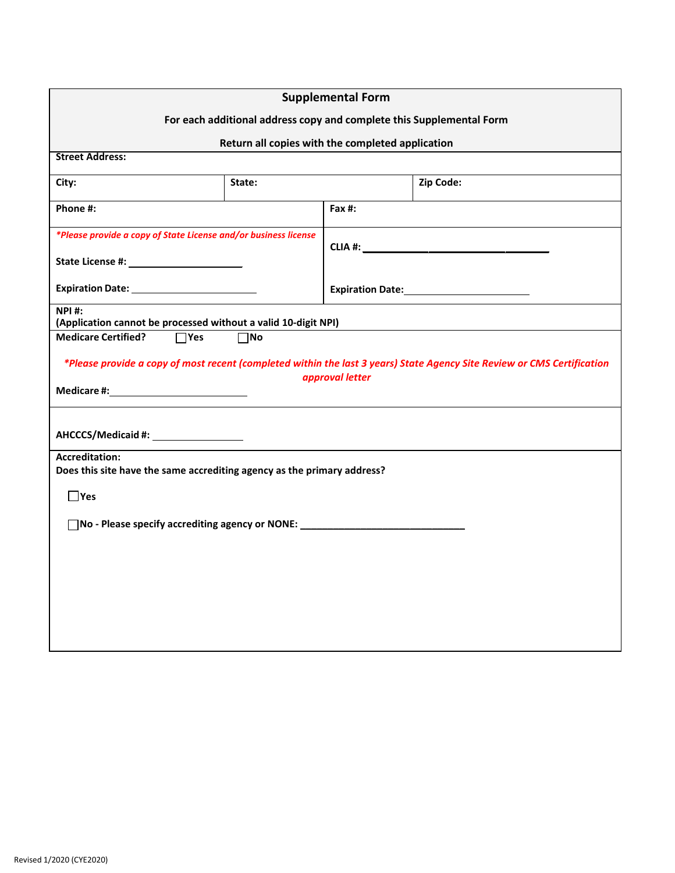| <b>Supplemental Form</b>                                                                         |                                                  |                 |                                                                                                                         |  |
|--------------------------------------------------------------------------------------------------|--------------------------------------------------|-----------------|-------------------------------------------------------------------------------------------------------------------------|--|
| For each additional address copy and complete this Supplemental Form                             |                                                  |                 |                                                                                                                         |  |
|                                                                                                  | Return all copies with the completed application |                 |                                                                                                                         |  |
| <b>Street Address:</b>                                                                           |                                                  |                 |                                                                                                                         |  |
| City:                                                                                            | State:                                           |                 | Zip Code:                                                                                                               |  |
| Phone #:                                                                                         |                                                  | Fax $#$ :       |                                                                                                                         |  |
| *Please provide a copy of State License and/or business license                                  |                                                  |                 |                                                                                                                         |  |
|                                                                                                  |                                                  |                 |                                                                                                                         |  |
| Expiration Date: _________________________                                                       |                                                  |                 |                                                                                                                         |  |
| <b>NPI#:</b><br>(Application cannot be processed without a valid 10-digit NPI)                   |                                                  |                 |                                                                                                                         |  |
| <b>Medicare Certified?</b><br>$\Box$ Yes                                                         | $\square$ No                                     |                 |                                                                                                                         |  |
|                                                                                                  |                                                  |                 | *Please provide a copy of most recent (completed within the last 3 years) State Agency Site Review or CMS Certification |  |
|                                                                                                  |                                                  | approval letter |                                                                                                                         |  |
|                                                                                                  |                                                  |                 |                                                                                                                         |  |
| AHCCCS/Medicaid #: __________________                                                            |                                                  |                 |                                                                                                                         |  |
| <b>Accreditation:</b><br>Does this site have the same accrediting agency as the primary address? |                                                  |                 |                                                                                                                         |  |
| $\Box$ Yes                                                                                       |                                                  |                 |                                                                                                                         |  |
| No - Please specify accrediting agency or NONE: 1996 1997 1998                                   |                                                  |                 |                                                                                                                         |  |
|                                                                                                  |                                                  |                 |                                                                                                                         |  |
|                                                                                                  |                                                  |                 |                                                                                                                         |  |
|                                                                                                  |                                                  |                 |                                                                                                                         |  |
|                                                                                                  |                                                  |                 |                                                                                                                         |  |
|                                                                                                  |                                                  |                 |                                                                                                                         |  |
|                                                                                                  |                                                  |                 |                                                                                                                         |  |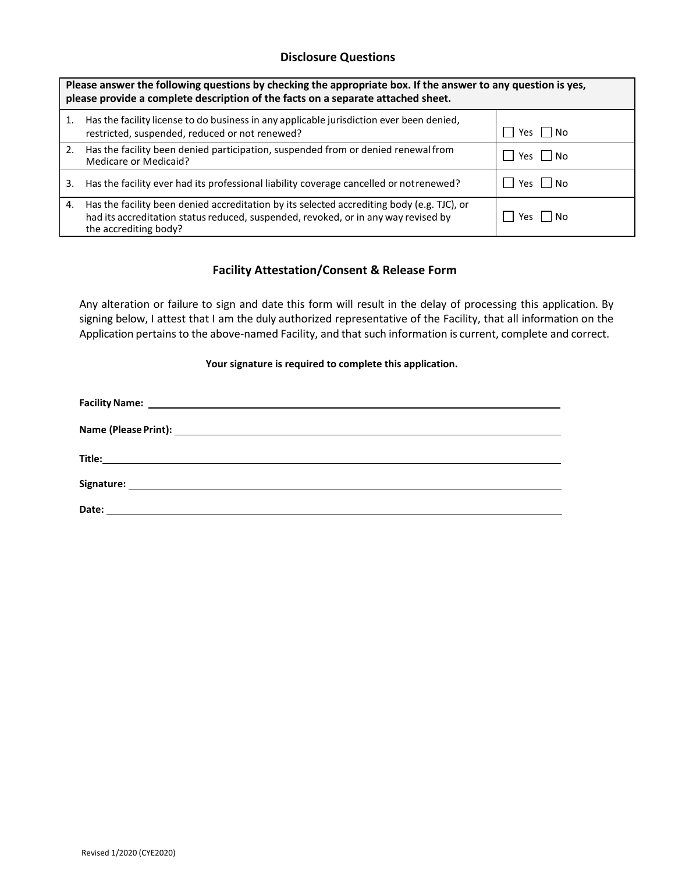## **Disclosure Questions**

| Please answer the following questions by checking the appropriate box. If the answer to any question is yes,<br>please provide a complete description of the facts on a separate attached sheet. |                                                                                                                                                                                                           |                |  |
|--------------------------------------------------------------------------------------------------------------------------------------------------------------------------------------------------|-----------------------------------------------------------------------------------------------------------------------------------------------------------------------------------------------------------|----------------|--|
|                                                                                                                                                                                                  | Has the facility license to do business in any applicable jurisdiction ever been denied,<br>restricted, suspended, reduced or not renewed?                                                                | Yes I I No     |  |
| 2.                                                                                                                                                                                               | Has the facility been denied participation, suspended from or denied renewal from<br>Medicare or Medicaid?                                                                                                | Yes No         |  |
| 3.                                                                                                                                                                                               | Has the facility ever had its professional liability coverage cancelled or not renewed?                                                                                                                   | Yes     No     |  |
| 4.                                                                                                                                                                                               | Has the facility been denied accreditation by its selected accrediting body (e.g. TJC), or<br>had its accreditation status reduced, suspended, revoked, or in any way revised by<br>the accrediting body? | l INO<br>Yes l |  |

## **Facility Attestation/Consent & Release Form**

Any alteration or failure to sign and date this form will result in the delay of processing this application. By signing below, I attest that I am the duly authorized representative of the Facility, that all information on the Application pertains to the above-named Facility, and that such information is current, complete and correct.

## **Your signature is required to complete this application.**

| Date: |  |
|-------|--|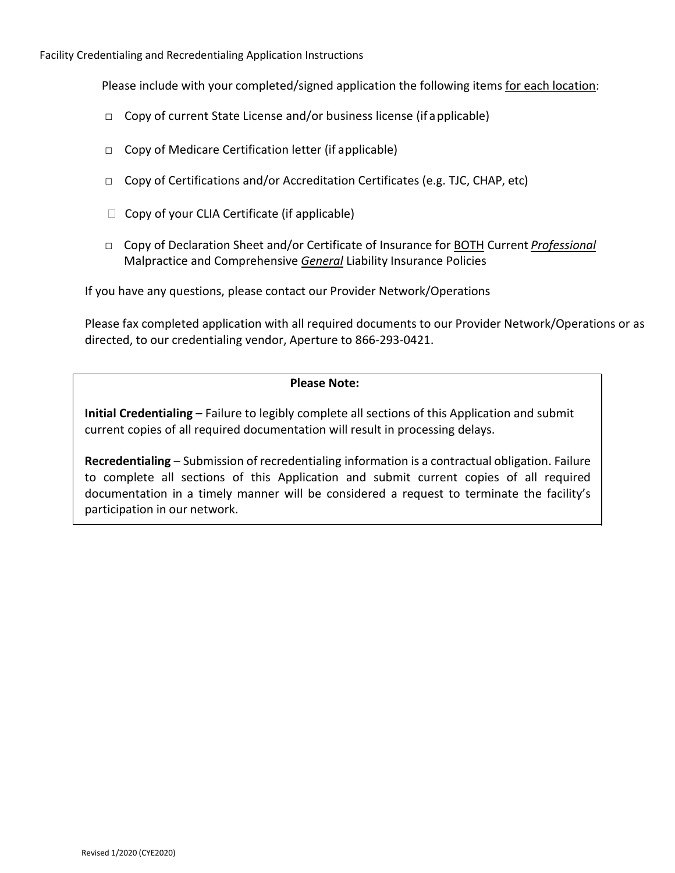Facility Credentialing and Recredentialing Application Instructions

Please include with your completed/signed application the following items for each location:

- □ Copy of current State License and/or business license (if applicable)
- □ Copy of Medicare Certification letter (if applicable)
- $\Box$  Copy of Certifications and/or Accreditation Certificates (e.g. TJC, CHAP, etc)
- $\Box$  Copy of your CLIA Certificate (if applicable)
- □ Copy of Declaration Sheet and/or Certificate of Insurance for BOTH Current *Professional* Malpractice and Comprehensive *General* Liability Insurance Policies

If you have any questions, please contact our Provider Network/Operations

Please fax completed application with all required documents to our Provider Network/Operations or as directed, to our credentialing vendor, Aperture to 866-293-0421.

## **Please Note:**

**Initial Credentialing** – Failure to legibly complete all sections of this Application and submit current copies of all required documentation will result in processing delays.

**Recredentialing** – Submission of recredentialing information is a contractual obligation. Failure to complete all sections of this Application and submit current copies of all required documentation in a timely manner will be considered a request to terminate the facility's participation in our network.